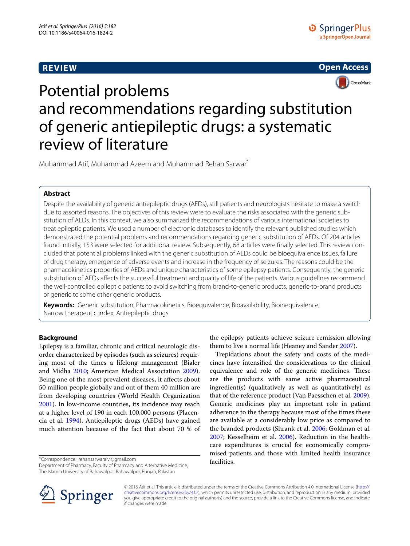# **REVIEW**



# Potential problems and recommendations regarding substitution of generic antiepileptic drugs: a systematic review of literature

Muhammad Atif, Muhammad Azeem and Muhammad Rehan Sarwar\*

# **Abstract**

Despite the availability of generic antiepileptic drugs (AEDs), still patients and neurologists hesitate to make a switch due to assorted reasons. The objectives of this review were to evaluate the risks associated with the generic substitution of AEDs. In this context, we also summarized the recommendations of various international societies to treat epileptic patients. We used a number of electronic databases to identify the relevant published studies which demonstrated the potential problems and recommendations regarding generic substitution of AEDs. Of 204 articles found initially, 153 were selected for additional review. Subsequently, 68 articles were finally selected. This review concluded that potential problems linked with the generic substitution of AEDs could be bioequivalence issues, failure of drug therapy, emergence of adverse events and increase in the frequency of seizures. The reasons could be the pharmacokinetics properties of AEDs and unique characteristics of some epilepsy patients. Consequently, the generic substitution of AEDs affects the successful treatment and quality of life of the patients. Various guidelines recommend the well-controlled epileptic patients to avoid switching from brand-to-generic products, generic-to-brand products or generic to some other generic products.

**Keywords:** Generic substitution, Pharmacokinetics, Bioequivalence, Bioavailability, Bioinequivalence, Narrow therapeutic index, Antiepileptic drugs

## **Background**

Epilepsy is a familiar, chronic and critical neurologic disorder characterized by episodes (such as seizures) requiring most of the times a lifelong management (Bialer and Midha [2010](#page-6-0); American Medical Association [2009](#page-5-0)). Being one of the most prevalent diseases, it affects about 50 million people globally and out of them 40 million are from developing countries (World Health Organization [2001](#page-7-0)). In low-income countries, its incidence may reach at a higher level of 190 in each 100,000 persons (Placencia et al. [1994](#page-7-1)). Antiepileptic drugs (AEDs) have gained much attention because of the fact that about 70 % of

\*Correspondence: rehansarwaralvi@gmail.com

Department of Pharmacy, Faculty of Pharmacy and Alternative Medicine, The Islamia University of Bahawalpur, Bahawalpur, Punjab, Pakistan

the epilepsy patients achieve seizure remission allowing them to live a normal life (Heaney and Sander [2007\)](#page-6-1).

Trepidations about the safety and costs of the medicines have intensified the considerations to the clinical equivalence and role of the generic medicines. These are the products with same active pharmaceutical ingredient(s) (qualitatively as well as quantitatively) as that of the reference product (Van Paesschen et al. [2009](#page-7-2)). Generic medicines play an important role in patient adherence to the therapy because most of the times these are available at a considerably low price as compared to the branded products (Shrank et al. [2006;](#page-7-3) Goldman et al. [2007](#page-6-2); Kesselheim et al. [2006](#page-6-3)). Reduction in the healthcare expenditures is crucial for economically compromised patients and those with limited health insurance facilities.



© 2016 Atif et al. This article is distributed under the terms of the Creative Commons Attribution 4.0 International License ([http://](http://creativecommons.org/licenses/by/4.0/) [creativecommons.org/licenses/by/4.0/](http://creativecommons.org/licenses/by/4.0/)), which permits unrestricted use, distribution, and reproduction in any medium, provided you give appropriate credit to the original author(s) and the source, provide a link to the Creative Commons license, and indicate if changes were made.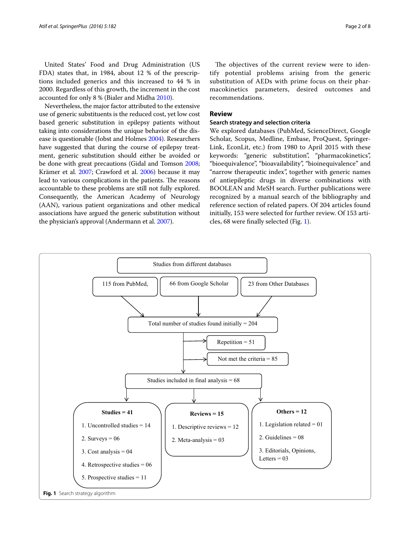United States' Food and Drug Administration (US FDA) states that, in 1984, about 12 % of the prescriptions included generics and this increased to 44 % in 2000. Regardless of this growth, the increment in the cost accounted for only 8 % (Bialer and Midha [2010](#page-6-0)).

Nevertheless, the major factor attributed to the extensive use of generic substituents is the reduced cost, yet low cost based generic substitution in epilepsy patients without taking into considerations the unique behavior of the disease is questionable (Jobst and Holmes [2004\)](#page-6-4). Researchers have suggested that during the course of epilepsy treatment, generic substitution should either be avoided or be done with great precautions (Gidal and Tomson [2008](#page-6-5); Krämer et al. [2007](#page-6-6); Crawford et al. [2006\)](#page-6-7) because it may lead to various complications in the patients. The reasons accountable to these problems are still not fully explored. Consequently, the American Academy of Neurology (AAN), various patient organizations and other medical associations have argued the generic substitution without the physician's approval (Andermann et al. [2007](#page-5-1)).

The objectives of the current review were to identify potential problems arising from the generic substitution of AEDs with prime focus on their pharmacokinetics parameters, desired outcomes and recommendations.

## **Review**

## **Search strategy and selection criteria**

We explored databases (PubMed, ScienceDirect, Google Scholar, Scopus, Medline, Embase, ProQuest, Springer-Link, EconLit, etc.) from 1980 to April 2015 with these keywords: "generic substitution", "pharmacokinetics", "bioequivalence", "bioavailability", "bioinequivalence" and "narrow therapeutic index", together with generic names of antiepileptic drugs in diverse combinations with BOOLEAN and MeSH search. Further publications were recognized by a manual search of the bibliography and reference section of related papers. Of 204 articles found initially, 153 were selected for further review. Of 153 articles, 68 were finally selected (Fig. [1](#page-1-0)).

<span id="page-1-0"></span>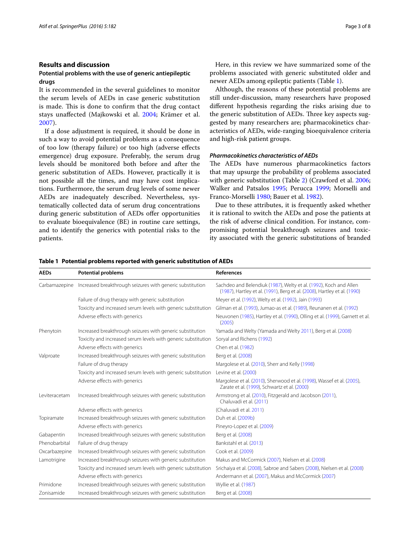#### **Results and discussion**

## **Potential problems with the use of generic antiepileptic drugs**

It is recommended in the several guidelines to monitor the serum levels of AEDs in case generic substitution is made. This is done to confirm that the drug contact stays unaffected (Majkowski et al. [2004;](#page-6-8) Krämer et al. [2007\)](#page-6-6).

If a dose adjustment is required, it should be done in such a way to avoid potential problems as a consequence of too low (therapy failure) or too high (adverse effects emergence) drug exposure. Preferably, the serum drug levels should be monitored both before and after the generic substitution of AEDs. However, practically it is not possible all the times, and may have cost implications. Furthermore, the serum drug levels of some newer AEDs are inadequately described. Nevertheless, systematically collected data of serum drug concentrations during generic substitution of AEDs offer opportunities to evaluate bioequivalence (BE) in routine care settings, and to identify the generics with potential risks to the patients.

Here, in this review we have summarized some of the problems associated with generic substituted older and newer AEDs among epileptic patients (Table [1\)](#page-2-0).

Although, the reasons of these potential problems are still under-discussion, many researchers have proposed different hypothesis regarding the risks arising due to the generic substitution of AEDs. Three key aspects suggested by many researchers are; pharmacokinetics characteristics of AEDs, wide-ranging bioequivalence criteria and high-risk patient groups.

#### *Pharmacokinetics characteristics of AEDs*

The AEDs have numerous pharmacokinetics factors that may upsurge the probability of problems associated with generic substitution (Table [2](#page-3-0)) (Crawford et al. [2006](#page-6-7); Walker and Patsalos [1995](#page-7-4); Perucca [1999](#page-7-5); Morselli and Franco-Morselli [1980](#page-6-9); Bauer et al. [1982](#page-6-10)).

Due to these attributes, it is frequently asked whether it is rational to switch the AEDs and pose the patients at the risk of adverse clinical condition. For instance, compromising potential breakthrough seizures and toxicity associated with the generic substitutions of branded

| <b>AEDs</b>   | <b>Potential problems</b>                                     | <b>References</b>                                                                                                                             |
|---------------|---------------------------------------------------------------|-----------------------------------------------------------------------------------------------------------------------------------------------|
| Carbamazepine | Increased breakthrough seizures with generic substitution     | Sachdeo and Belendiuk (1987), Welty et al. (1992), Koch and Allen<br>(1987), Hartley et al. (1991), Berg et al. (2008), Hartley et al. (1990) |
|               | Failure of drug therapy with generic substitution             | Meyer et al. (1992), Welty et al. (1992), Jain (1993)                                                                                         |
|               | Toxicity and increased serum levels with generic substitution | Gilman et al. (1993), Jumao-as et al. (1989), Reunanen et al. (1992)                                                                          |
|               | Adverse effects with generics                                 | Neuvonen (1985), Hartley et al. (1990), Olling et al. (1999), Garnett et al.<br>(2005)                                                        |
| Phenytoin     | Increased breakthrough seizures with generic substitution     | Yamada and Welty (Yamada and Welty 2011), Berg et al. (2008)                                                                                  |
|               | Toxicity and increased serum levels with generic substitution | Soryal and Richens (1992)                                                                                                                     |
|               | Adverse effects with generics                                 | Chen et al. (1982)                                                                                                                            |
| Valproate     | Increased breakthrough seizures with generic substitution     | Berg et al. (2008)                                                                                                                            |
|               | Failure of drug therapy                                       | Margolese et al. (2010), Sherr and Kelly (1998)                                                                                               |
|               | Toxicity and increased serum levels with generic substitution | Levine et al. (2000)                                                                                                                          |
|               | Adverse effects with generics                                 | Margolese et al. (2010), Sherwood et al. (1998), Wassef et al. (2005),<br>Zarate et al. (1999), Schwartz et al. (2000)                        |
| Leviteracetam | Increased breakthrough seizures with generic substitution     | Armstrong et al. (2010), Fitzgerald and Jacobson (2011),<br>Chaluvadi et al. (2011)                                                           |
|               | Adverse effects with generics                                 | (Chaluvadi et al. 2011)                                                                                                                       |
| Topiramate    | Increased breakthrough seizures with generic substitution     | Duh et al. (2009b)                                                                                                                            |
|               | Adverse effects with generics                                 | Pineyro-Lopez et al. (2009)                                                                                                                   |
| Gabapentin    | Increased breakthrough seizures with generic substitution     | Berg et al. (2008)                                                                                                                            |
| Phenobarbital | Failure of drug therapy                                       | Bankstahl et al. (2013)                                                                                                                       |
| Oxcarbazepine | Increased breakthrough seizures with generic substitution     | Cook et al. (2009)                                                                                                                            |
| Lamotrigine   | Increased breakthrough seizures with generic substitution     | Makus and McCormick (2007), Nielsen et al. (2008)                                                                                             |
|               | Toxicity and increased serum levels with generic substitution | Srichaiya et al. (2008), Sabroe and Sabers (2008), Nielsen et al. (2008)                                                                      |
|               | Adverse effects with generics                                 | Andermann et al. (2007), Makus and McCormick (2007)                                                                                           |
| Primidone     | Increased breakthrough seizures with generic substitution     | Wyllie et al. (1987)                                                                                                                          |
| Zonisamide    | Increased breakthrough seizures with generic substitution     | Berg et al. (2008)                                                                                                                            |

#### <span id="page-2-0"></span>**Table 1 Potential problems reported with generic substitution of AEDs**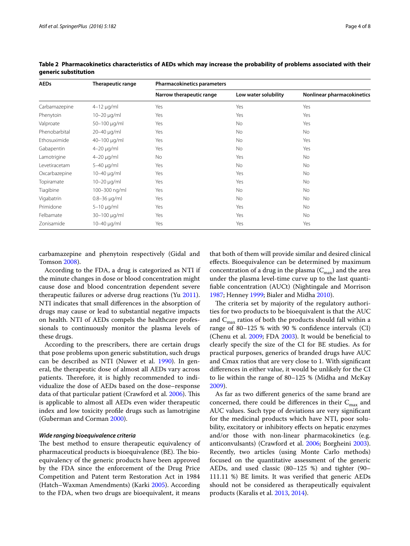| <b>AEDs</b>   | Therapeutic range   | Pharmacokinetics parameters |                      |                            |
|---------------|---------------------|-----------------------------|----------------------|----------------------------|
|               |                     | Narrow therapeutic range    | Low water solubility | Nonlinear pharmacokinetics |
| Carbamazepine | $4 - 12 \mu q/ml$   | Yes                         | Yes                  | Yes                        |
| Phenytoin     | $10 - 20 \mu g/ml$  | Yes                         | Yes                  | Yes                        |
| Valproate     | 50-100 µg/ml        | Yes                         | No                   | Yes                        |
| Phenobarbital | 20-40 µg/ml         | Yes                         | No                   | No                         |
| Ethosuximide  | 40-100 µg/ml        | Yes                         | No                   | Yes                        |
| Gabapentin    | $4-20 \mu q/ml$     | Yes                         | No                   | Yes                        |
| Lamotrigine   | $4-20 \mu g/ml$     | No                          | Yes                  | No                         |
| Levetiracetam | $5-40 \mu q/ml$     | Yes                         | No                   | No                         |
| Oxcarbazepine | 10-40 µg/ml         | Yes                         | Yes                  | No                         |
| Topiramate    | $10 - 20 \mu g/ml$  | Yes                         | Yes                  | No                         |
| Tiagibine     | 100-300 ng/ml       | Yes                         | <b>No</b>            | No                         |
| Vigabatrin    | $0.8 - 36 \mu q/ml$ | Yes                         | No                   | No                         |
| Primidone     | $5-10 \mu g/ml$     | Yes                         | Yes                  | No                         |
| Felbamate     | 30-100 µg/ml        | Yes                         | Yes                  | No                         |
| Zonisamide    | 10-40 µg/ml         | Yes                         | Yes                  | Yes                        |

<span id="page-3-0"></span>**Table 2 Pharmacokinetics characteristics of AEDs which may increase the probability of problems associated with their generic substitution**

carbamazepine and phenytoin respectively (Gidal and Tomson [2008](#page-6-5)).

According to the FDA, a drug is categorized as NTI if the minute changes in dose or blood concentration might cause dose and blood concentration dependent severe therapeutic failures or adverse drug reactions (Yu [2011](#page-7-22)). NTI indicates that small differences in the absorption of drugs may cause or lead to substantial negative impacts on health. NTI of AEDs compels the healthcare professionals to continuously monitor the plasma levels of these drugs.

According to the prescribers, there are certain drugs that pose problems upon generic substitution, such drugs can be described as NTI (Nuwer et al. [1990](#page-7-23)). In general, the therapeutic dose of almost all AEDs vary across patients. Therefore, it is highly recommended to individualize the dose of AEDs based on the dose–response data of that particular patient (Crawford et al. [2006](#page-6-7)). This is applicable to almost all AEDs even wider therapeutic index and low toxicity profile drugs such as lamotrigine (Guberman and Corman [2000\)](#page-6-29).

#### *Wide ranging bioequivalence criteria*

The best method to ensure therapeutic equivalency of pharmaceutical products is bioequivalence (BE). The bioequivalency of the generic products have been approved by the FDA since the enforcement of the Drug Price Competition and Patent term Restoration Act in 1984 (Hatch–Waxman Amendments) (Karki [2005\)](#page-6-30). According to the FDA, when two drugs are bioequivalent, it means that both of them will provide similar and desired clinical effects. Bioequivalence can be determined by maximum concentration of a drug in the plasma  $(C_{\text{max}})$  and the area under the plasma level-time curve up to the last quantifiable concentration (AUCt) (Nightingale and Morrison [1987](#page-7-24); Henney [1999;](#page-6-31) Bialer and Midha [2010\)](#page-6-0).

The criteria set by majority of the regulatory authorities for two products to be bioequivalent is that the AUC and  $C_{\text{max}}$  ratios of both the products should fall within a range of 80–125 % with 90 % confidence intervals (CI) (Chenu et al. [2009](#page-6-32); FDA [2003\)](#page-6-33). It would be beneficial to clearly specify the size of the CI for BE studies. As for practical purposes, generics of branded drugs have AUC and Cmax ratios that are very close to 1. With significant differences in either value, it would be unlikely for the CI to lie within the range of 80–125 % (Midha and McKay [2009](#page-6-34)).

As far as two different generics of the same brand are concerned, there could be differences in their  $C_{\text{max}}$  and AUC values. Such type of deviations are very significant for the medicinal products which have NTI, poor solubility, excitatory or inhibitory effects on hepatic enzymes and/or those with non-linear pharmacokinetics (e.g. anticonvulsants) (Crawford et al. [2006](#page-6-7); Borgheini [2003](#page-6-35)). Recently, two articles (using Monte Carlo methods) focused on the quantitative assessment of the generic AEDs, and used classic (80–125 %) and tighter (90– 111.11 %) BE limits. It was verified that generic AEDs should not be considered as therapeutically equivalent products (Karalis et al. [2013,](#page-6-36) [2014\)](#page-6-37).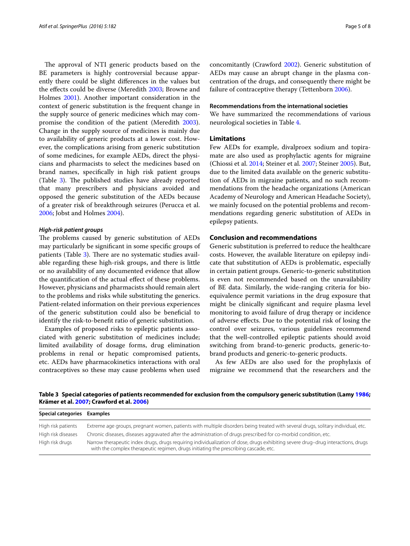The approval of NTI generic products based on the BE parameters is highly controversial because apparently there could be slight differences in the values but the effects could be diverse (Meredith [2003;](#page-6-38) Browne and Holmes [2001](#page-6-39)). Another important consideration in the context of generic substitution is the frequent change in the supply source of generic medicines which may compromise the condition of the patient (Meredith [2003](#page-6-38)). Change in the supply source of medicines is mainly due to availability of generic products at a lower cost. However, the complications arising from generic substitution of some medicines, for example AEDs, direct the physicians and pharmacists to select the medicines based on brand names, specifically in high risk patient groups (Table [3](#page-4-0)). The published studies have already reported that many prescribers and physicians avoided and opposed the generic substitution of the AEDs because of a greater risk of breakthrough seizures (Perucca et al. [2006](#page-7-25); Jobst and Holmes [2004\)](#page-6-4).

#### *High‑risk patient groups*

The problems caused by generic substitution of AEDs may particularly be significant in some specific groups of patients (Table [3](#page-4-0)). There are no systematic studies available regarding these high-risk groups, and there is little or no availability of any documented evidence that allow the quantification of the actual effect of these problems. However, physicians and pharmacists should remain alert to the problems and risks while substituting the generics. Patient-related information on their previous experiences of the generic substitution could also be beneficial to identify the risk-to-benefit ratio of generic substitution.

Examples of proposed risks to epileptic patients associated with generic substitution of medicines include; limited availability of dosage forms, drug elimination problems in renal or hepatic compromised patients, etc. AEDs have pharmacokinetics interactions with oral contraceptives so these may cause problems when used

concomitantly (Crawford [2002](#page-6-40)). Generic substitution of AEDs may cause an abrupt change in the plasma concentration of the drugs, and consequently there might be failure of contraceptive therapy (Tettenborn [2006\)](#page-7-26).

#### **Recommendations from the international societies**

We have summarized the recommendations of various neurological societies in Table [4.](#page-5-4)

# **Limitations**

Few AEDs for example, divalproex sodium and topiramate are also used as prophylactic agents for migraine (Chiossi et al. [2014;](#page-6-41) Steiner et al. [2007;](#page-7-27) Steiner [2005\)](#page-7-28). But, due to the limited data available on the generic substitution of AEDs in migraine patients, and no such recommendations from the headache organizations (American Academy of Neurology and American Headache Society), we mainly focused on the potential problems and recommendations regarding generic substitution of AEDs in epilepsy patients.

#### **Conclusion and recommendations**

Generic substitution is preferred to reduce the healthcare costs. However, the available literature on epilepsy indicate that substitution of AEDs is problematic, especially in certain patient groups. Generic-to-generic substitution is even not recommended based on the unavailability of BE data. Similarly, the wide-ranging criteria for bioequivalence permit variations in the drug exposure that might be clinically significant and require plasma level monitoring to avoid failure of drug therapy or incidence of adverse effects. Due to the potential risk of losing the control over seizures, various guidelines recommend that the well-controlled epileptic patients should avoid switching from brand-to-generic products, generic-tobrand products and generic-to-generic products.

As few AEDs are also used for the prophylaxis of migraine we recommend that the researchers and the

<span id="page-4-0"></span>

| Table 3 Special categories of patients recommended for exclusion from the compulsory generic substitution (Lamy 1986; |  |
|-----------------------------------------------------------------------------------------------------------------------|--|
| Krämer et al. 2007: Crawford et al. 2006)                                                                             |  |

| <b>Special categories</b> | <b>Examples</b>                                                                                                                                                                                                          |  |
|---------------------------|--------------------------------------------------------------------------------------------------------------------------------------------------------------------------------------------------------------------------|--|
| High risk patients        | Extreme age groups, pregnant women, patients with multiple disorders being treated with several drugs, solitary individual, etc.                                                                                         |  |
| High risk diseases        | Chronic diseases, diseases aggravated after the administration of drugs prescribed for co-morbid condition, etc.                                                                                                         |  |
| High risk drugs           | Narrow therapeutic index drugs, drugs requiring individualization of dose, drugs exhibiting severe drug-drug interactions, drugs<br>with the complex therapeutic regimen, drugs initiating the prescribing cascade, etc. |  |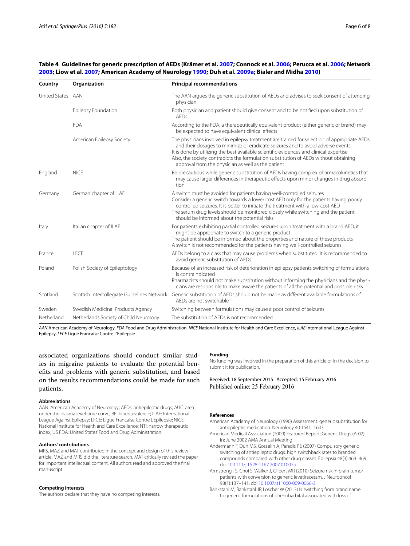| Country           | Organization                           | <b>Principal recommendations</b>                                                                                                                                                                                                                                                                                                                                                                                       |
|-------------------|----------------------------------------|------------------------------------------------------------------------------------------------------------------------------------------------------------------------------------------------------------------------------------------------------------------------------------------------------------------------------------------------------------------------------------------------------------------------|
| United States AAN |                                        | The AAN argues the generic substitution of AEDs and advises to seek consent of attending<br>physician                                                                                                                                                                                                                                                                                                                  |
|                   | Epilepsy Foundation                    | Both physician and patient should give consent and to be notified upon substitution of<br>AFDs                                                                                                                                                                                                                                                                                                                         |
|                   | <b>FDA</b>                             | According to the FDA, a therapeutically equivalent product (either generic or brand) may<br>be expected to have equivalent clinical effects                                                                                                                                                                                                                                                                            |
|                   | American Epilepsy Society              | The physicians involved in epilepsy treatment are trained for selection of appropriate AEDs<br>and their dosages to minimize or eradicate seizures and to avoid adverse events<br>It is done by utilizing the best available scientific evidences and clinical expertise<br>Also, the society contradicts the formulation substitution of AEDs without obtaining<br>approval from the physician as well as the patient |
| England           | <b>NICE</b>                            | Be precautious while generic substitution of AEDs having complex pharmacokinetics that<br>may cause larger differences in therapeutic effects upon minor changes in drug absorp-<br>tion                                                                                                                                                                                                                               |
| Germany           | German chapter of ILAE                 | A switch must be avoided for patients having well-controlled seizures<br>Consider a generic switch towards a lower cost AED only for the patients having poorly<br>controlled seizures. It is better to initiate the treatment with a low-cost AED<br>The serum drug levels should be monitored closely while switching and the patient<br>should be informed about the potential risks                                |
| Italy             | Italian chapter of ILAE                | For patients exhibiting partial controlled seizures upon treatment with a brand AED, it<br>might be appropriate to switch to a generic product<br>The patient should be informed about the properties and nature of these products<br>A switch is not recommended for the patients having well-controlled seizures                                                                                                     |
| France            | LFCE                                   | AEDs belong to a class that may cause problems when substituted. It is recommended to<br>avoid generic substitution of AEDs                                                                                                                                                                                                                                                                                            |
| Poland            | Polish Society of Epileptology         | Because of an increased risk of deterioration in epilepsy patients switching of formulations<br>is contraindicated<br>Pharmacists should not make substitution without informing the physicians and the physi-<br>cians are responsible to make aware the patients of all the potential and possible risks                                                                                                             |
| Scotland          |                                        | Scottish Intercollegiate Guidelines Network Generic substitution of AEDs should not be made as different available formulations of<br>AEDs are not switchable                                                                                                                                                                                                                                                          |
| Sweden            | Swedish Medicinal Products Agency      | Switching between formulations may cause a poor control of seizures                                                                                                                                                                                                                                                                                                                                                    |
| Netherland        | Netherlands Society of Child Neurology | The substitution of AEDs is not recommended                                                                                                                                                                                                                                                                                                                                                                            |

<span id="page-5-4"></span>**Table 4 Guidelines for generic prescription of AEDs (Krämer et al. [2007;](#page-6-6) Connock et al. [2006](#page-6-43); Perucca et al. [2006;](#page-7-25) Network [2003;](#page-6-44) Liow et al. [2007;](#page-6-45) American Academy of Neurology [1990](#page-5-5); Duh et al. [2009a;](#page-6-46) Bialer and Midha [2010\)](#page-6-0)**

*AAN* American Academy of Neurology, *FDA* Food and Drug Administration, *NICE* National Institute for Health and Care Excellence, *ILAE* International League Against Epilepsy, *LFCE* Ligue Francaise Contre L'Epilepsie

associated organizations should conduct similar studies in migraine patients to evaluate the potential benefits and problems with generic substitution, and based on the results recommendations could be made for such patients.

#### **Abbreviations**

AAN: American Academy of Neurology; AEDs: antiepileptic drugs; AUC: area under the plasma level-time curve; BE: bioequivalence; ILAE: International League Against Epilepsy; LFCE: Ligue Francaise Contre L'Epilepsie; NICE: National Institute for Health and Care Excellence; NTI: narrow therapeutic index; US FDA: United States' Food and Drug Administration.

#### **Authors' contributions**

MRS, MAZ and MAT contributed in the concept and design of this review article. MAZ and MRS did the literature search. MAT critically revised the paper for important intellectual content. All authors read and approved the final manuscript.

#### **Competing interests**

The authors declare that they have no competing interests.

#### **Funding**

No funding was involved in the preparation of this article or in the decision to submit it for publication.

Received: 18 September 2015 Accepted: 15 February 2016 Published online: 25 February 2016

#### **References**

- <span id="page-5-5"></span>American Academy of Neurology (1990) Assessment: generic substitution for antiepileptic medication. Neurology 40:1641–1643
- <span id="page-5-0"></span>American Medical Association (2009) Featured Report; Generic Drugs (A-02). In: June 2002 AMA Annual Meeting

<span id="page-5-1"></span>Andermann F, Duh MS, Gosselin A, Paradis PE (2007) Compulsory generic switching of antiepileptic drugs: high switchback rates to branded compounds compared with other drug classes. Epilepsia 48(3):464–469. doi:[10.1111/j.1528-1167.2007.01007.x](http://dx.doi.org/10.1111/j.1528-1167.2007.01007.x)

<span id="page-5-2"></span>Armstrong TS, Choi S, Walker J, Gilbert MR (2010) Seizure risk in brain tumor patients with conversion to generic levetiracetam. J Neurooncol 98(1):137–141. doi:[10.1007/s11060-009-0066-3](http://dx.doi.org/10.1007/s11060-009-0066-3)

<span id="page-5-3"></span>Bankstahl M, Bankstahl JP, Löscher W (2013) Is switching from brand name to generic formulations of phenobarbital associated with loss of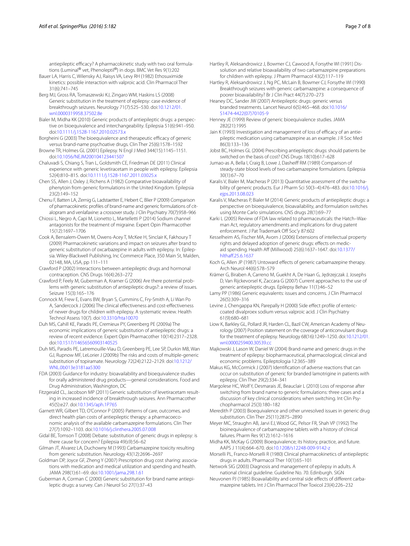antiepileptic efficacy? A pharmacokinetic study with two oral formulations (Luminal® vet, Phenoleptil®) in dogs. BMC Vet Res 9(1):202

<span id="page-6-10"></span>Bauer LA, Harris C, Wilensky AJ, Raisys VA, Levy RH (1982) Ethosuximide kinetics: possible interaction with valproic acid. Clin Pharmacol Ther 31(6):741–745

<span id="page-6-13"></span>Berg MJ, Gross RA, Tomaszewski KJ, Zingaro WM, Haskins LS (2008) Generic substitution in the treatment of epilepsy: case evidence of breakthrough seizures. Neurology 71(7):525–530. doi:[10.1212/01.](http://dx.doi.org/10.1212/01.wnl.0000319958.37502.8e) [wnl.0000319958.37502.8e](http://dx.doi.org/10.1212/01.wnl.0000319958.37502.8e)

<span id="page-6-0"></span>Bialer M, Midha KK (2010) Generic products of antiepileptic drugs: a perspective on bioequivalence and interchangeability. Epilepsia 51(6):941–950. doi:[10.1111/j.1528-1167.2010.02573.x](http://dx.doi.org/10.1111/j.1528-1167.2010.02573.x)

<span id="page-6-35"></span>Borgheini G (2003) The bioequivalence and therapeutic efficacy of generic versus brand-name psychoative drugs. Clin Ther 25(6):1578–1592

<span id="page-6-39"></span>Browne TR, Holmes GL (2001) Epilepsy. N Engl J Med 344(15):1145–1151. doi:[10.1056/NEJM200104123441507](http://dx.doi.org/10.1056/NEJM200104123441507)

<span id="page-6-25"></span>Chaluvadi S, Chiang S, Tran L, Goldsmith CE, Friedman DE (2011) Clinical experience with generic levetiracetam in people with epilepsy. Epilepsia 52(4):810–815. doi:[10.1111/j.1528-1167.2011.03025.x](http://dx.doi.org/10.1111/j.1528-1167.2011.03025.x)

<span id="page-6-21"></span>Chen SS, Allen J, Oxley J, Richens A (1982) Comparative bioavailability of phenytoin from generic formulations in the United Kingdom. Epilepsia 23(2):149–152

- <span id="page-6-32"></span>Chenu F, Batten LA, Zernig G, Ladstaetter E, Hebert C, Blier P (2009) Comparison of pharmacokinetic profiles of brand-name and generic formulations of citalopram and venlafaxine: a crossover study. J Clin Psychiatry 70(7):958–966
- <span id="page-6-41"></span>Chiossi L, Negro A, Capi M, Lionetto L, Martelletti P (2014) Sodium channel antagonists for the treatment of migraine. Expert Opin Pharmacother 15(12):1697–1706
- <span id="page-6-27"></span>Cook A, Bensalem-Owen M, Owens-Acey T, McKee H, Sinclair K, Fakhoury T (2009) Pharmacokinetic variations and impact on seizures after brand to generic substitution of oxcarbazepine in adults with epilepsy. In: Epilepsia. Wiley-Blackwell Publishing, Inc Commerce Place, 350 Main St, Malden, 02148, MA, USA, pp 111–111
- <span id="page-6-40"></span>Crawford P (2002) Interactions between antiepileptic drugs and hormonal contraception. CNS Drugs 16(4):263–272
- <span id="page-6-7"></span>Crawford P, Feely M, Guberman A, Kramer G (2006) Are there potential problems with generic substitution of antiepileptic drugs?: a review of issues. Seizure 15(3):165–176
- <span id="page-6-43"></span>Connock M, Frew E, Evans BW, Bryan S, Cummins C, Fry-Smith A, Li Wan Po A, Sandercock J (2006) The clinical effectiveness and cost-effectiveness of newer drugs for children with epilepsy. A systematic review. Health Technol Assess 10(7). doi:[10.3310/hta10070](http://dx.doi.org/10.3310/hta10070)
- <span id="page-6-46"></span>Duh MS, Cahill KE, Paradis PE, Cremieux PY, Greenberg PE (2009a) The economic implications of generic substitution of antiepileptic drugs: a review of recent evidence. Expert Opin Pharmacother 10(14):2317–2328. doi:[10.1517/14656560903140525](http://dx.doi.org/10.1517/14656560903140525)
- <span id="page-6-26"></span>Duh MS, Paradis PE, Latremouille-Viau D, Greenberg PE, Lee SP, Durkin MB, Wan GJ, Rupnow MF, LeLorier J (2009b) The risks and costs of multiple-generic substitution of topiramate. Neurology 72(24):2122–2129. doi:[10.1212/](http://dx.doi.org/10.1212/WNL.0b013e3181aa5300) [WNL.0b013e3181aa5300](http://dx.doi.org/10.1212/WNL.0b013e3181aa5300)
- <span id="page-6-33"></span>FDA (2003) Guidance for industry: bioavailability and bioequivalence studies for orally administered drug products—general considerations. Food and Drug Administration, Washington, DC
- <span id="page-6-24"></span>Fitzgerald CL, Jacobson MP (2011) Generic substitution of levetiracetam resulting in increased incidence of breakthrough seizures. Ann Pharmacother 45(5):e27. doi:[10.1345/aph.1P765](http://dx.doi.org/10.1345/aph.1P765)

<span id="page-6-20"></span>Garnett WR, Gilbert TD, O'Connor P (2005) Patterns of care, outcomes, and direct health plan costs of antiepileptic therapy: a pharmacoeconomic analysis of the available carbamazepine formulations. Clin Ther 27(7):1092–1103. doi:[10.1016/j.clinthera.2005.07.008](http://dx.doi.org/10.1016/j.clinthera.2005.07.008)

- <span id="page-6-5"></span>Gidal BE, Tomson T (2008) Debate: substitution of generic drugs in epilepsy: is there cause for concern? Epilepsia 49(s9):56–62
- <span id="page-6-17"></span>Gilman JT, Alvarez LA, Duchowny M (1993) Carbamazepine toxicity resulting from generic substitution. Neurology 43(12):2696–2697
- <span id="page-6-2"></span>Goldman DP, Joyce GF, Zheng Y (2007) Prescription drug cost sharing: associations with medication and medical utilization and spending and health. JAMA 298(1):61–69. doi:[10.1001/jama.298.1.61](http://dx.doi.org/10.1001/jama.298.1.61)
- <span id="page-6-29"></span>Guberman A, Corman C (2000) Generic substitution for brand name antiepileptic drugs: a survey. Can J Neurol Sci 27(1):37–43
- <span id="page-6-12"></span>Hartley R, Aleksandrowicz J, Bowmer CJ, Cawood A, Forsythe WI (1991) Dissolution and relative bioavailability of two carbamazepine preparations for children with epilepsy. J Pharm Pharmacol 43(2):117–119
- <span id="page-6-14"></span>Hartley R, Aleksandrowicz J, Ng PC, McLain B, Bowmer CJ, Forsythe WI (1990) Breakthrough seizures with generic carbamazepine: a consequence of poorer bioavailability? Br J Clin Pract 44(7):270–273

<span id="page-6-1"></span>Heaney DC, Sander JW (2007) Antiepileptic drugs: generic versus branded treatments. Lancet Neurol 6(5):465–468. doi[:10.1016/](http://dx.doi.org/10.1016/S1474-4422(07)70105-9) [S1474-4422\(07\)70105-9](http://dx.doi.org/10.1016/S1474-4422(07)70105-9)

- <span id="page-6-31"></span>Henney JE (1999) Review of generic bioequivalence studies. JAMA 282(21):1995
- <span id="page-6-16"></span>Jain K (1993) Investigation and management of loss of efficacy of an antiepileptic medication using carbamazepine as an example. J R Soc Med 86(3):133–136
- <span id="page-6-4"></span>Jobst BC, Holmes GL (2004) Prescribing antiepileptic drugs: should patients be switched on the basis of cost? CNS Drugs 18(10):617–628
- <span id="page-6-18"></span>Jumao-as A, Bella I, Craig B, Lowe J, Dasheiff RM (1989) Comparison of steady-state blood levels of two carbamazepine formulations. Epilepsia 30(1):67–70
- <span id="page-6-36"></span>Karalis V, Bialer M, Macheras P (2013) Quantitative assessment of the switchability of generic products. Eur J Pharm Sci 50(3–4):476–483. doi[:10.1016/j.](http://dx.doi.org/10.1016/j.ejps.2013.08.023) [ejps.2013.08.023](http://dx.doi.org/10.1016/j.ejps.2013.08.023)
- <span id="page-6-37"></span>Karalis V, Macheras P, Bialer M (2014) Generic products of antiepileptic drugs: a perspective on bioequivalence, bioavailability, and formulation switches using Monte Carlo simulations. CNS drugs 28(1):69–77
- <span id="page-6-30"></span>Karki L (2005) Review of FDA law related to pharmaceuticals: the Hatch–Waxman Act, regulatory amendments and implications for drug patent enforcement. J Pat Trademark Off Soc'y 87:602

<span id="page-6-3"></span>Kesselheim AS, Fischer MA, Avorn J (2006) Extensions of intellectual property rights and delayed adoption of generic drugs: effects on medicaid spending. Health Aff (Millwood) 25(6):1637–1647. doi:[10.1377/](http://dx.doi.org/10.1377/hlthaff.25.6.1637) [hlthaff.25.6.1637](http://dx.doi.org/10.1377/hlthaff.25.6.1637)

- <span id="page-6-11"></span>Koch G, Allen JP (1987) Untoward effects of generic carbamazepine therapy. Arch Neurol 44(6):578–579
- <span id="page-6-6"></span>Krämer G, Biraben A, Carreno M, Guekht A, De Haan G, Jędrzejczak J, Josephs D, Van Rijckevorsel K, Zaccara G (2007) Current approaches to the use of generic antiepileptic drugs. Epilepsy Behav 11(1):46–52
- <span id="page-6-42"></span>Lamy PP (1986) Generic equivalents: issues and concerns. J Clin Pharmacol 26(5):309–316

<span id="page-6-23"></span>Levine J, Chengappa KN, Parepally H (2000) Side effect profile of entericcoated divalproex sodium versus valproic acid. J Clin Psychiatry 61(9):680–681

- <span id="page-6-45"></span>Liow K, Barkley GL, Pollard JR, Harden CL, Bazil CW, American Academy of Neurology (2007) Position statement on the coverage of anticonvulsant drugs for the treatment of epilepsy. Neurology 68(16):1249–1250. doi[:10.1212/01.](http://dx.doi.org/10.1212/01.wnl.0000259400.30539.cc) [wnl.0000259400.30539.cc](http://dx.doi.org/10.1212/01.wnl.0000259400.30539.cc)
- <span id="page-6-8"></span>Majkowski J, Lason W, Daniel W (2004) Brand-name and generic drugs in the treatment of epilepsy: biopharmaceutical, pharmacological, clinical and economic problems. Epileptologia 12:365–389

<span id="page-6-28"></span>Makus KG, McCormick J (2007) Identification of adverse reactions that can occur on substitution of generic for branded lamotrigine in patients with epilepsy. Clin Ther 29(2):334–341

<span id="page-6-22"></span>Margolese HC, Wolf Y, Desmarais JE, Beauclair L (2010) Loss of response after switching from brand name to generic formulations: three cases and a discussion of key clinical considerations when switching. Int Clin Psychopharmacol 25(3):180–182

<span id="page-6-38"></span>Meredith P (2003) Bioequivalence and other unresolved issues in generic drug substitution. Clin Ther 25(11):2875–2890

<span id="page-6-15"></span>Meyer MC, Straughn AB, Jarvi EJ, Wood GC, Pelsor FR, Shah VP (1992) The bioinequivalence of carbamazepine tablets with a history of clinical failures. Pharm Res 9(12):1612–1616

<span id="page-6-34"></span>Midha KK, McKay G (2009) Bioequivalence; its history, practice, and future. AAPS J 11(4):664–670. doi[:10.1208/s12248-009-9142-z](http://dx.doi.org/10.1208/s12248-009-9142-z)

<span id="page-6-9"></span>Morselli PL, Franco-Morselli R (1980) Clinical pharmacokinetics of antiepileptic drugs in adults. Pharmacol Ther 10(1):65–101

<span id="page-6-44"></span>Network SIG (2003) Diagnosis and management of epilepsy in adults. A national clinical guideline. Guideline No. 70. Edinburgh. SIGN

<span id="page-6-19"></span>Neuvonen PJ (1985) Bioavailability and central side effects of different carbamazepine tablets. Int J Clin Pharmacol Ther Toxicol 23(4):226–232